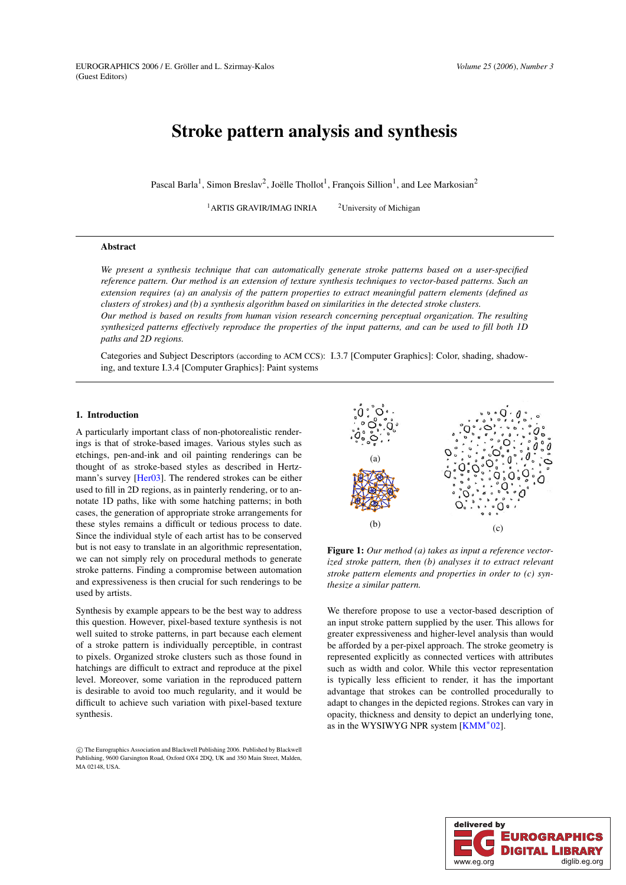# **Stroke pattern analysis and synthesis**

Pascal Barla<sup>1</sup>, Simon Breslav<sup>2</sup>, Joëlle Thollot<sup>1</sup>, François Sillion<sup>1</sup>, and Lee Markosian<sup>2</sup>

<sup>1</sup>ARTIS GRAVIR/IMAG INRIA  $^{2}$ University of Michigan

# **Abstract**

*We present a synthesis technique that can automatically generate stroke patterns based on a user-specified reference pattern. Our method is an extension of texture synthesis techniques to vector-based patterns. Such an extension requires (a) an analysis of the pattern properties to extract meaningful pattern elements (defined as clusters of strokes) and (b) a synthesis algorithm based on similarities in the detected stroke clusters. Our method is based on results from human vision research concerning perceptual organization. The resulting*

synthesized patterns effectively reproduce the properties of the input patterns, and can be used to fill both ID *paths and 2D regions.*

Categories and Subject Descriptors (according to ACM CCS): I.3.7 [Computer Graphics]: Color, shading, shadowing, and texture I.3.4 [Computer Graphics]: Paint systems

# **1. Introduction**

A particularly important class of non-photorealistic renderings is that of stroke-based images. Various styles such as etchings, pen-and-ink and oil painting renderings can be thought of as stroke-based styles as described in Hertzmann's survey [\[Her03\]](#page-8-0). The rendered strokes can be either used to fill in 2D regions, as in painterly rendering, or to annotate 1D paths, like with some hatching patterns; in both cases, the generation of appropriate stroke arrangements for these styles remains a difficult or tedious process to date. Since the individual style of each artist has to be conserved but is not easy to translate in an algorithmic representation, we can not simply rely on procedural methods to generate stroke patterns. Finding a compromise between automation and expressiveness is then crucial for such renderings to be used by artists.

Synthesis by example appears to be the best way to address this question. However, pixel-based texture synthesis is not well suited to stroke patterns, in part because each element of a stroke pattern is individually perceptible, in contrast to pixels. Organized stroke clusters such as those found in hatchings are difficult to extract and reproduce at the pixel level. Moreover, some variation in the reproduced pattern is desirable to avoid too much regularity, and it would be difficult to achieve such variation with pixel-based texture synthesis.



<span id="page-0-0"></span>**Figure 1:** *Our method (a) takes as input a reference vectorized stroke pattern, then (b) analyses it to extract relevant stroke pattern elements and properties in order to (c) synthesize a similar pattern.*

We therefore propose to use a vector-based description of an input stroke pattern supplied by the user. This allows for greater expressiveness and higher-level analysis than would be afforded by a per-pixel approach. The stroke geometry is represented explicitly as connected vertices with attributes such as width and color. While this vector representation is typically less efficient to render, it has the important advantage that strokes can be controlled procedurally to adapt to changes in the depicted regions. Strokes can vary in opacity, thickness and density to depict an underlying tone, as in the WYSIWYG NPR system [\[KMM](#page-8-1)<sup>∗</sup> 02].



c The Eurographics Association and Blackwell Publishing 2006. Published by Blackwell Publishing, 9600 Garsington Road, Oxford OX4 2DQ, UK and 350 Main Street, Malden, MA 02148, USA.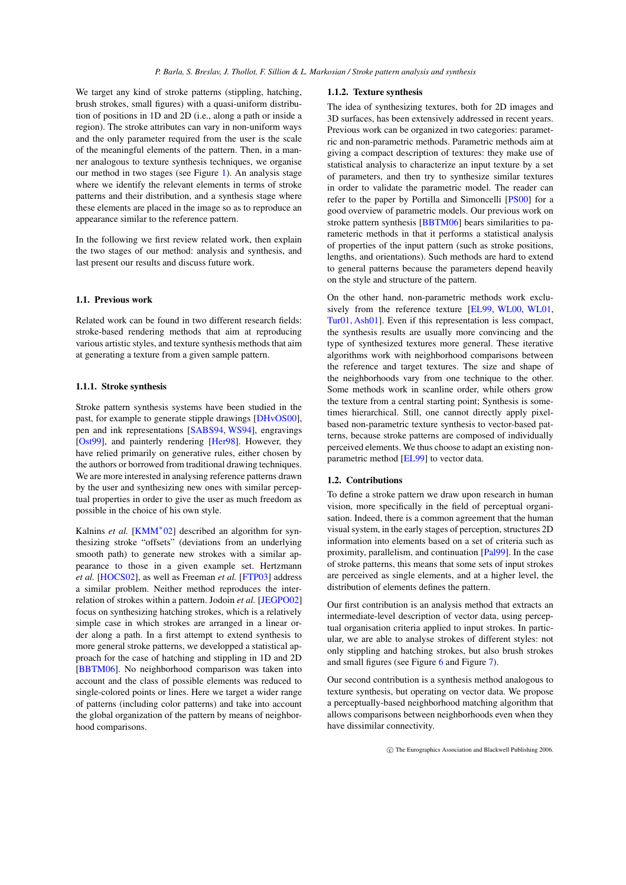We target any kind of stroke patterns (stippling, hatching, brush strokes, small figures) with a quasi-uniform distribution of positions in 1D and 2D (i.e., along a path or inside a region). The stroke attributes can vary in non-uniform ways and the only parameter required from the user is the scale of the meaningful elements of the pattern. Then, in a manner analogous to texture synthesis techniques, we organise our method in two stages (see Figure [1\)](#page-0-0). An analysis stage where we identify the relevant elements in terms of stroke patterns and their distribution, and a synthesis stage where these elements are placed in the image so as to reproduce an appearance similar to the reference pattern.

In the following we first review related work, then explain the two stages of our method: analysis and synthesis, and last present our results and discuss future work.

#### **1.1. Previous work**

Related work can be found in two different research fields: stroke-based rendering methods that aim at reproducing various artistic styles, and texture synthesis methods that aim at generating a texture from a given sample pattern.

# **1.1.1. Stroke synthesis**

Stroke pattern synthesis systems have been studied in the past, for example to generate stipple drawings [\[DHvOS00\]](#page-8-2), pen and ink representations [\[SABS94,](#page-8-3) [WS94\]](#page-8-4), engravings [\[Ost99\]](#page-8-5), and painterly rendering [\[Her98\]](#page-8-6). However, they have relied primarily on generative rules, either chosen by the authors or borrowed from traditional drawing techniques. We are more interested in analysing reference patterns drawn by the user and synthesizing new ones with similar perceptual properties in order to give the user as much freedom as possible in the choice of his own style.

Kalnins *et al.* [\[KMM](#page-8-1)<sup>\*</sup>02] described an algorithm for synthesizing stroke "offsets" (deviations from an underlying smooth path) to generate new strokes with a similar appearance to those in a given example set. Hertzmann *et al.* [\[HOCS02\]](#page-8-7), as well as Freeman *et al.* [\[FTP03\]](#page-8-8) address a similar problem. Neither method reproduces the interrelation of strokes within a pattern. Jodoin *et al.* [\[JEGPO02\]](#page-8-9) focus on synthesizing hatching strokes, which is a relatively simple case in which strokes are arranged in a linear order along a path. In a first attempt to extend synthesis to more general stroke patterns, we developped a statistical approach for the case of hatching and stippling in 1D and 2D [\[BBTM06\]](#page-8-10). No neighborhood comparison was taken into account and the class of possible elements was reduced to single-colored points or lines. Here we target a wider range of patterns (including color patterns) and take into account the global organization of the pattern by means of neighborhood comparisons.

## **1.1.2. Texture synthesis**

The idea of synthesizing textures, both for 2D images and 3D surfaces, has been extensively addressed in recent years. Previous work can be organized in two categories: parametric and non-parametric methods. Parametric methods aim at giving a compact description of textures: they make use of statistical analysis to characterize an input texture by a set of parameters, and then try to synthesize similar textures in order to validate the parametric model. The reader can refer to the paper by Portilla and Simoncelli [\[PS00\]](#page-8-11) for a good overview of parametric models. Our previous work on stroke pattern synthesis [\[BBTM06\]](#page-8-10) bears similarities to parameteric methods in that it performs a statistical analysis of properties of the input pattern (such as stroke positions, lengths, and orientations). Such methods are hard to extend to general patterns because the parameters depend heavily on the style and structure of the pattern.

On the other hand, non-parametric methods work exclusively from the reference texture [\[EL99,](#page-8-12) [WL00,](#page-8-13) [WL01,](#page-8-14) [Tur01,](#page-8-15) [Ash01\]](#page-8-16). Even if this representation is less compact, the synthesis results are usually more convincing and the type of synthesized textures more general. These iterative algorithms work with neighborhood comparisons between the reference and target textures. The size and shape of the neighborhoods vary from one technique to the other. Some methods work in scanline order, while others grow the texture from a central starting point; Synthesis is sometimes hierarchical. Still, one cannot directly apply pixelbased non-parametric texture synthesis to vector-based patterns, because stroke patterns are composed of individually perceived elements. We thus choose to adapt an existing nonparametric method [\[EL99\]](#page-8-12) to vector data.

## **1.2. Contributions**

To define a stroke pattern we draw upon research in human vision, more specifically in the field of perceptual organisation. Indeed, there is a common agreement that the human visual system, in the early stages of perception, structures 2D information into elements based on a set of criteria such as proximity, parallelism, and continuation [\[Pal99\]](#page-8-17). In the case of stroke patterns, this means that some sets of input strokes are perceived as single elements, and at a higher level, the distribution of elements defines the pattern.

Our first contribution is an analysis method that extracts an intermediate-level description of vector data, using perceptual organisation criteria applied to input strokes. In particular, we are able to analyse strokes of different styles: not only stippling and hatching strokes, but also brush strokes and small figures (see Figure [6](#page-6-0) and Figure [7\)](#page-7-0).

Our second contribution is a synthesis method analogous to texture synthesis, but operating on vector data. We propose a perceptually-based neighborhood matching algorithm that allows comparisons between neighborhoods even when they have dissimilar connectivity.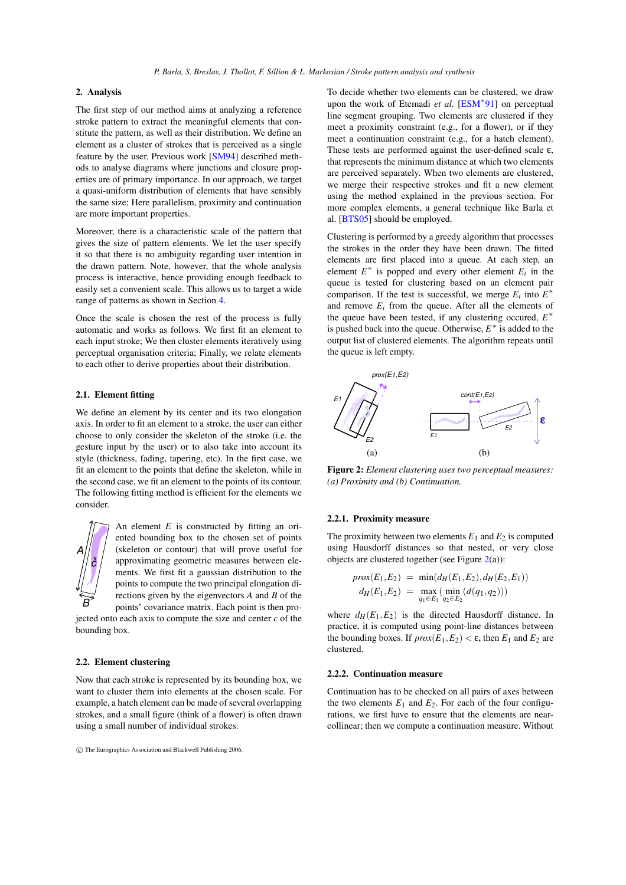# **2. Analysis**

The first step of our method aims at analyzing a reference stroke pattern to extract the meaningful elements that constitute the pattern, as well as their distribution. We define an element as a cluster of strokes that is perceived as a single feature by the user. Previous work [\[SM94\]](#page-8-18) described methods to analyse diagrams where junctions and closure properties are of primary importance. In our approach, we target a quasi-uniform distribution of elements that have sensibly the same size; Here parallelism, proximity and continuation are more important properties.

Moreover, there is a characteristic scale of the pattern that gives the size of pattern elements. We let the user specify it so that there is no ambiguity regarding user intention in the drawn pattern. Note, however, that the whole analysis process is interactive, hence providing enough feedback to easily set a convenient scale. This allows us to target a wide range of patterns as shown in Section [4.](#page-5-0)

Once the scale is chosen the rest of the process is fully automatic and works as follows. We first fit an element to each input stroke; We then cluster elements iteratively using perceptual organisation criteria; Finally, we relate elements to each other to derive properties about their distribution.

# **2.1. Element fitting**

We define an element by its center and its two elongation axis. In order to fit an element to a stroke, the user can either choose to only consider the skeleton of the stroke (i.e. the gesture input by the user) or to also take into account its style (thickness, fading, tapering, etc). In the first case, we fit an element to the points that define the skeleton, while in the second case, we fit an element to the points of its contour. The following fitting method is efficient for the elements we consider.



An element *E* is constructed by fitting an oriented bounding box to the chosen set of points (skeleton or contour) that will prove useful for approximating geometric measures between elements. We first fit a gaussian distribution to the points to compute the two principal elongation directions given by the eigenvectors *A* and *B* of the points' covariance matrix. Each point is then pro-

jected onto each axis to compute the size and center *c* of the bounding box.

### **2.2. Element clustering**

Now that each stroke is represented by its bounding box, we want to cluster them into elements at the chosen scale. For example, a hatch element can be made of several overlapping strokes, and a small figure (think of a flower) is often drawn using a small number of individual strokes.

c The Eurographics Association and Blackwell Publishing 2006.

To decide whether two elements can be clustered, we draw upon the work of Etemadi *et al.* [\[ESM](#page-8-19)<sup>∗91</sup>] on perceptual line segment grouping. Two elements are clustered if they meet a proximity constraint (e.g., for a flower), or if they meet a continuation constraint (e.g., for a hatch element). These tests are performed against the user-defined scale  $\varepsilon$ , that represents the minimum distance at which two elements are perceived separately. When two elements are clustered, we merge their respective strokes and fit a new element using the method explained in the previous section. For more complex elements, a general technique like Barla et al. [\[BTS05\]](#page-8-20) should be employed.

Clustering is performed by a greedy algorithm that processes the strokes in the order they have been drawn. The fitted elements are first placed into a queue. At each step, an element  $E^*$  is popped and every other element  $E_i$  in the queue is tested for clustering based on an element pair comparison. If the test is successful, we merge  $E_i$  into  $E^*$ and remove  $E_i$  from the queue. After all the elements of the queue have been tested, if any clustering occured,  $E^*$ is pushed back into the queue. Otherwise,  $E^*$  is added to the output list of clustered elements. The algorithm repeats until the queue is left empty.



<span id="page-2-0"></span>**Figure 2:** *Element clustering uses two perceptual measures: (a) Proximity and (b) Continuation.*

#### **2.2.1. Proximity measure**

The proximity between two elements  $E_1$  and  $E_2$  is computed using Hausdorff distances so that nested, or very close objects are clustered together (see Figure  $2(a)$  $2(a)$ ):

$$
prox(E_1, E_2) = min(d_H(E_1, E_2), d_H(E_2, E_1))
$$
  

$$
d_H(E_1, E_2) = max_{q_1 \in E_1} (min_{q_2 \in E_2} (d(q_1, q_2)))
$$

where  $d_H(E_1, E_2)$  is the directed Hausdorff distance. In practice, it is computed using point-line distances between the bounding boxes. If  $prox(E_1, E_2) < \varepsilon$ , then  $E_1$  and  $E_2$  are clustered.

## **2.2.2. Continuation measure**

Continuation has to be checked on all pairs of axes between the two elements  $E_1$  and  $E_2$ . For each of the four configurations, we first have to ensure that the elements are nearcollinear; then we compute a continuation measure. Without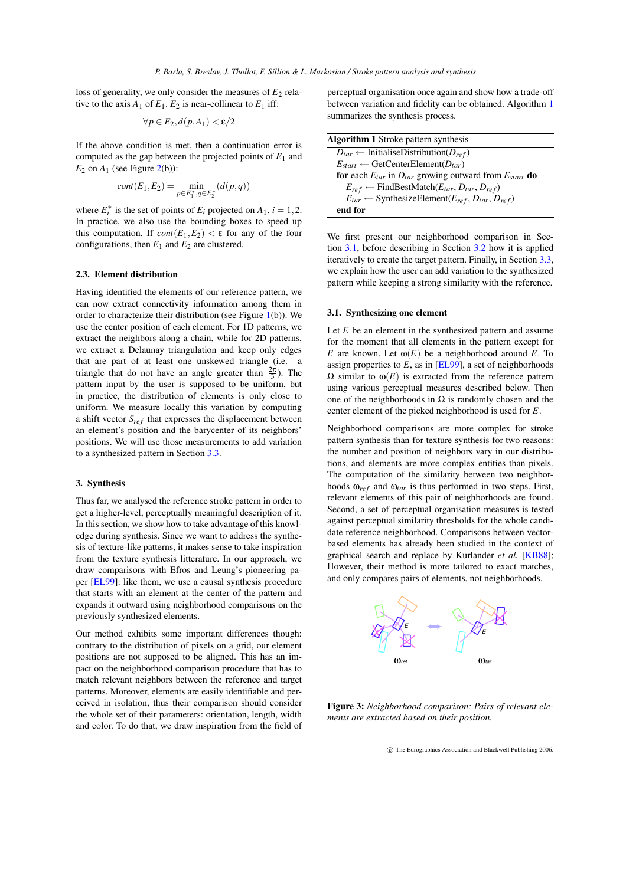loss of generality, we only consider the measures of  $E_2$  relative to the axis  $A_1$  of  $E_1$ .  $E_2$  is near-collinear to  $E_1$  iff:

$$
\forall p \in E_2, d(p, A_1) < \varepsilon/2
$$

If the above condition is met, then a continuation error is computed as the gap between the projected points of  $E_1$  and  $E_2$  on  $A_1$  (see Figure [2\(](#page-2-0)b)):

$$
cont(E_1, E_2) = \min_{p \in E_1^*, q \in E_2^*} (d(p, q))
$$

where  $E_i^*$  is the set of points of  $E_i$  projected on  $A_1$ ,  $i = 1, 2$ . In practice, we also use the bounding boxes to speed up this computation. If  $cont(E_1, E_2) < \varepsilon$  for any of the four configurations, then  $E_1$  and  $E_2$  are clustered.

# <span id="page-3-3"></span>**2.3. Element distribution**

Having identified the elements of our reference pattern, we can now extract connectivity information among them in order to characterize their distribution (see Figure [1\(](#page-0-0)b)). We use the center position of each element. For 1D patterns, we extract the neighbors along a chain, while for 2D patterns, we extract a Delaunay triangulation and keep only edges that are part of at least one unskewed triangle (i.e. a triangle that do not have an angle greater than  $\frac{2\pi}{3}$ ). The pattern input by the user is supposed to be uniform, but in practice, the distribution of elements is only close to uniform. We measure locally this variation by computing a shift vector  $S_{ref}$  that expresses the displacement between an element's position and the barycenter of its neighbors' positions. We will use those measurements to add variation to a synthesized pattern in Section [3.3.](#page-5-1)

#### **3. Synthesis**

Thus far, we analysed the reference stroke pattern in order to get a higher-level, perceptually meaningful description of it. In this section, we show how to take advantage of this knowledge during synthesis. Since we want to address the synthesis of texture-like patterns, it makes sense to take inspiration from the texture synthesis litterature. In our approach, we draw comparisons with Efros and Leung's pioneering paper [\[EL99\]](#page-8-12): like them, we use a causal synthesis procedure that starts with an element at the center of the pattern and expands it outward using neighborhood comparisons on the previously synthesized elements.

Our method exhibits some important differences though: contrary to the distribution of pixels on a grid, our element positions are not supposed to be aligned. This has an impact on the neighborhood comparison procedure that has to match relevant neighbors between the reference and target patterns. Moreover, elements are easily identifiable and perceived in isolation, thus their comparison should consider the whole set of their parameters: orientation, length, width and color. To do that, we draw inspiration from the field of perceptual organisation once again and show how a trade-off between variation and fidelity can be obtained. Algorithm [1](#page-3-0) summarizes the synthesis process.

<span id="page-3-0"></span>

| <b>Algorithm 1</b> Stroke pattern synthesis                                 |
|-----------------------------------------------------------------------------|
| $D_{tar} \leftarrow$ InitialiseDistribution( $D_{ref}$ )                    |
| $E_{start} \leftarrow \text{GetCenterElement}(D_{tar})$                     |
| for each $E_{tar}$ in $D_{tar}$ growing outward from $E_{start}$ do         |
| $E_{ref} \leftarrow$ FindBestMatch( $E_{tar}, D_{tar}, D_{ref}$ )           |
| $E_{tar} \leftarrow$ SynthesizeElement( $E_{ref}$ , $D_{tar}$ , $D_{ref}$ ) |
| end for                                                                     |

We first present our neighborhood comparison in Section [3.1,](#page-3-1) before describing in Section [3.2](#page-4-0) how it is applied iteratively to create the target pattern. Finally, in Section [3.3,](#page-5-1) we explain how the user can add variation to the synthesized pattern while keeping a strong similarity with the reference.

#### <span id="page-3-1"></span>**3.1. Synthesizing one element**

Let *E* be an element in the synthesized pattern and assume for the moment that all elements in the pattern except for *E* are known. Let  $\omega(E)$  be a neighborhood around *E*. To assign properties to  $E$ , as in  $[EL99]$ , a set of neighborhoods  $Ω$  similar to  $ω(E)$  is extracted from the reference pattern using various perceptual measures described below. Then one of the neighborhoods in  $\Omega$  is randomly chosen and the center element of the picked neighborhood is used for *E*.

Neighborhood comparisons are more complex for stroke pattern synthesis than for texture synthesis for two reasons: the number and position of neighbors vary in our distributions, and elements are more complex entities than pixels. The computation of the similarity between two neighborhoods  $\omega_{ref}$  and  $\omega_{tar}$  is thus performed in two steps. First, relevant elements of this pair of neighborhoods are found. Second, a set of perceptual organisation measures is tested against perceptual similarity thresholds for the whole candidate reference neighborhood. Comparisons between vectorbased elements has already been studied in the context of graphical search and replace by Kurlander *et al.* [\[KB88\]](#page-8-21); However, their method is more tailored to exact matches, and only compares pairs of elements, not neighborhoods.



<span id="page-3-2"></span>**Figure 3:** *Neighborhood comparison: Pairs of relevant elements are extracted based on their position.*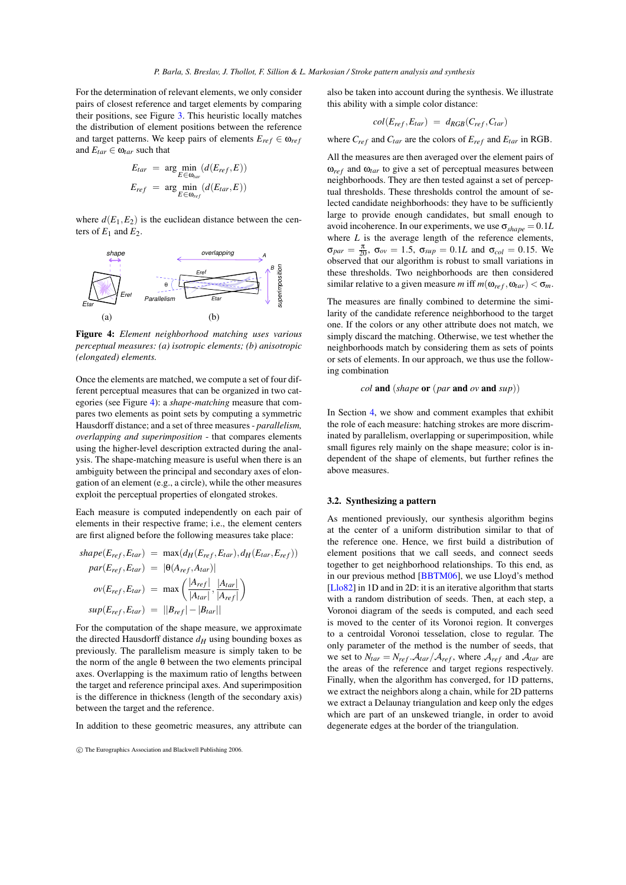For the determination of relevant elements, we only consider pairs of closest reference and target elements by comparing their positions, see Figure [3.](#page-3-2) This heuristic locally matches the distribution of element positions between the reference and target patterns. We keep pairs of elements  $E_{ref} \in \omega_{ref}$ and  $E_{tar} \in \omega_{tar}$  such that

$$
E_{tar} = \arg \min_{E \in \omega_{tar}} (d(E_{ref}, E))
$$
  

$$
E_{ref} = \arg \min_{E \in \omega_{ref}} (d(E_{tar}, E))
$$

where  $d(E_1, E_2)$  is the euclidean distance between the centers of  $E_1$  and  $E_2$ .



<span id="page-4-1"></span>**Figure 4:** *Element neighborhood matching uses various perceptual measures: (a) isotropic elements; (b) anisotropic (elongated) elements.*

Once the elements are matched, we compute a set of four different perceptual measures that can be organized in two categories (see Figure [4\)](#page-4-1): a *shape-matching* measure that compares two elements as point sets by computing a symmetric Hausdorff distance; and a set of three measures- *parallelism, overlapping and superimposition* - that compares elements using the higher-level description extracted during the analysis. The shape-matching measure is useful when there is an ambiguity between the principal and secondary axes of elongation of an element (e.g., a circle), while the other measures exploit the perceptual properties of elongated strokes.

Each measure is computed independently on each pair of elements in their respective frame; i.e., the element centers are first aligned before the following measures take place:

$$
shape(E_{ref}, E_{tar}) = \max(d_H(E_{ref}, E_{tar}), d_H(E_{tar}, E_{ref}))
$$
  
\n
$$
par(E_{ref}, E_{tar}) = |\Theta(A_{ref}, A_{tar})|
$$
  
\n
$$
ov(E_{ref}, E_{tar}) = \max\left(\frac{|A_{ref}|}{|A_{tar}|}, \frac{|A_{tar}|}{|A_{ref}|}\right)
$$
  
\n
$$
sup(E_{ref}, E_{tar}) = ||B_{ref}| - |B_{tar}||
$$

For the computation of the shape measure, we approximate the directed Hausdorff distance  $d_H$  using bounding boxes as previously. The parallelism measure is simply taken to be the norm of the angle  $θ$  between the two elements principal axes. Overlapping is the maximum ratio of lengths between the target and reference principal axes. And superimposition is the difference in thickness (length of the secondary axis) between the target and the reference.

In addition to these geometric measures, any attribute can

also be taken into account during the synthesis. We illustrate this ability with a simple color distance:

$$
col(E_{ref}, E_{tar}) = d_{RGB}(C_{ref}, C_{tar})
$$

where  $C_{ref}$  and  $C_{tar}$  are the colors of  $E_{ref}$  and  $E_{tar}$  in RGB.

All the measures are then averaged over the element pairs of  $\omega_{ref}$  and  $\omega_{tar}$  to give a set of perceptual measures between neighborhoods. They are then tested against a set of perceptual thresholds. These thresholds control the amount of selected candidate neighborhoods: they have to be sufficiently large to provide enough candidates, but small enough to avoid incoherence. In our experiments, we use  $\sigma_{shape} = 0.1L$ where *L* is the average length of the reference elements,  $\sigma_{par} = \frac{\pi}{20}$ ,  $\sigma_{ov} = 1.5$ ,  $\sigma_{sup} = 0.1L$  and  $\sigma_{col} = 0.15$ . We observed that our algorithm is robust to small variations in these thresholds. Two neighborhoods are then considered similar relative to a given measure *m* iff  $m(\omega_{ref}, \omega_{tar}) < \sigma_m$ .

The measures are finally combined to determine the similarity of the candidate reference neighborhood to the target one. If the colors or any other attribute does not match, we simply discard the matching. Otherwise, we test whether the neighborhoods match by considering them as sets of points or sets of elements. In our approach, we thus use the following combination

$$
col \textbf{ and } (shape \textbf{ or } (par \textbf{ and } ov \textbf{ and } sup))
$$

In Section [4,](#page-5-0) we show and comment examples that exhibit the role of each measure: hatching strokes are more discriminated by parallelism, overlapping or superimposition, while small figures rely mainly on the shape measure; color is independent of the shape of elements, but further refines the above measures.

# <span id="page-4-0"></span>**3.2. Synthesizing a pattern**

As mentioned previously, our synthesis algorithm begins at the center of a uniform distribution similar to that of the reference one. Hence, we first build a distribution of element positions that we call seeds, and connect seeds together to get neighborhood relationships. To this end, as in our previous method [\[BBTM06\]](#page-8-10), we use Lloyd's method  $[Llo82]$  in 1D and in 2D: it is an iterative algorithm that starts with a random distribution of seeds. Then, at each step, a Voronoi diagram of the seeds is computed, and each seed is moved to the center of its Voronoi region. It converges to a centroidal Voronoi tesselation, close to regular. The only parameter of the method is the number of seeds, that we set to  $N_{tar} = N_{ref} \cdot A_{tar}/A_{ref}$ , where  $A_{ref}$  and  $A_{tar}$  are the areas of the reference and target regions respectively. Finally, when the algorithm has converged, for 1D patterns, we extract the neighbors along a chain, while for 2D patterns we extract a Delaunay triangulation and keep only the edges which are part of an unskewed triangle, in order to avoid degenerate edges at the border of the triangulation.

c The Eurographics Association and Blackwell Publishing 2006.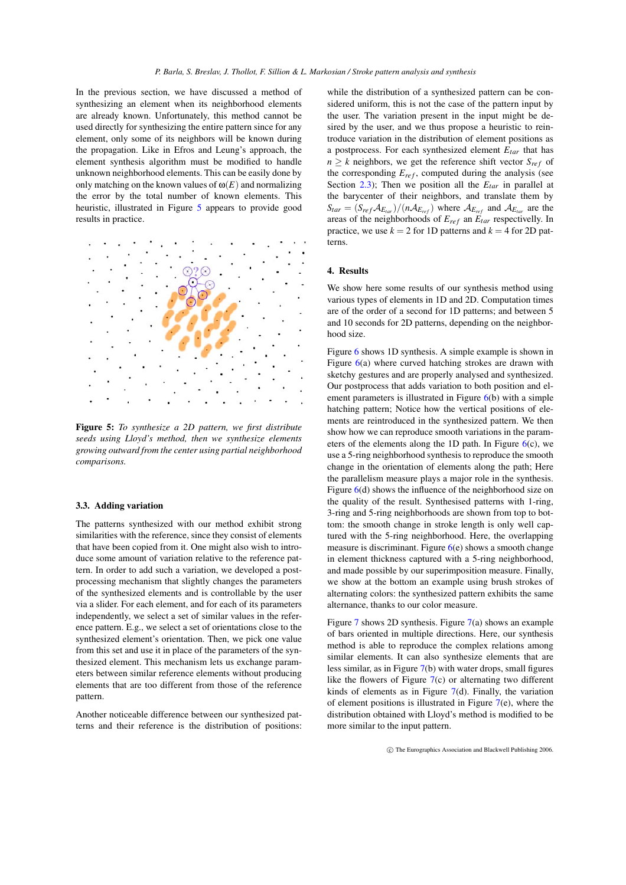In the previous section, we have discussed a method of synthesizing an element when its neighborhood elements are already known. Unfortunately, this method cannot be used directly for synthesizing the entire pattern since for any element, only some of its neighbors will be known during the propagation. Like in Efros and Leung's approach, the element synthesis algorithm must be modified to handle unknown neighborhood elements. This can be easily done by only matching on the known values of  $\omega(E)$  and normalizing the error by the total number of known elements. This heuristic, illustrated in Figure [5](#page-5-2) appears to provide good results in practice.



<span id="page-5-2"></span>**Figure 5:** *To synthesize a 2D pattern, we first distribute seeds using Lloyd's method, then we synthesize elements growing outward from the center using partial neighborhood comparisons.*

# <span id="page-5-1"></span>**3.3. Adding variation**

The patterns synthesized with our method exhibit strong similarities with the reference, since they consist of elements that have been copied from it. One might also wish to introduce some amount of variation relative to the reference pattern. In order to add such a variation, we developed a postprocessing mechanism that slightly changes the parameters of the synthesized elements and is controllable by the user via a slider. For each element, and for each of its parameters independently, we select a set of similar values in the reference pattern. E.g., we select a set of orientations close to the synthesized element's orientation. Then, we pick one value from this set and use it in place of the parameters of the synthesized element. This mechanism lets us exchange parameters between similar reference elements without producing elements that are too different from those of the reference pattern.

Another noticeable difference between our synthesized patterns and their reference is the distribution of positions: while the distribution of a synthesized pattern can be considered uniform, this is not the case of the pattern input by the user. The variation present in the input might be desired by the user, and we thus propose a heuristic to reintroduce variation in the distribution of element positions as a postprocess. For each synthesized element *Etar* that has  $n \geq k$  neighbors, we get the reference shift vector  $S_{ref}$  of the corresponding  $E_{ref}$ , computed during the analysis (see Section [2.3\)](#page-3-3); Then we position all the *Etar* in parallel at the barycenter of their neighbors, and translate them by  $S_{tar} = (S_{ref} A_{E_{tar}}) / (n A_{E_{ref}})$  where  $A_{E_{ref}}$  and  $A_{E_{tar}}$  are the areas of the neighborhoods of  $E_{ref}$  an  $E_{tar}$  respectivelly. In practice, we use  $k = 2$  for 1D patterns and  $k = 4$  for 2D patterns.

# <span id="page-5-0"></span>**4. Results**

We show here some results of our synthesis method using various types of elements in 1D and 2D. Computation times are of the order of a second for 1D patterns; and between 5 and 10 seconds for 2D patterns, depending on the neighborhood size.

Figure [6](#page-6-0) shows 1D synthesis. A simple example is shown in Figure  $6(a)$  $6(a)$  where curved hatching strokes are drawn with sketchy gestures and are properly analysed and synthesized. Our postprocess that adds variation to both position and element parameters is illustrated in Figure  $6(b)$  $6(b)$  with a simple hatching pattern; Notice how the vertical positions of elements are reintroduced in the synthesized pattern. We then show how we can reproduce smooth variations in the parameters of the elements along the 1D path. In Figure  $6(c)$  $6(c)$ , we use a 5-ring neighborhood synthesis to reproduce the smooth change in the orientation of elements along the path; Here the parallelism measure plays a major role in the synthesis. Figure  $6(d)$  $6(d)$  shows the influence of the neighborhood size on the quality of the result. Synthesised patterns with 1-ring, 3-ring and 5-ring neighborhoods are shown from top to bottom: the smooth change in stroke length is only well captured with the 5-ring neighborhood. Here, the overlapping measure is discriminant. Figure  $6(e)$  $6(e)$  shows a smooth change in element thickness captured with a 5-ring neighborhood, and made possible by our superimposition measure. Finally, we show at the bottom an example using brush strokes of alternating colors: the synthesized pattern exhibits the same alternance, thanks to our color measure.

Figure [7](#page-7-0) shows 2D synthesis. Figure [7\(](#page-7-0)a) shows an example of bars oriented in multiple directions. Here, our synthesis method is able to reproduce the complex relations among similar elements. It can also synthesize elements that are less similar, as in Figure [7\(](#page-7-0)b) with water drops, small figures like the flowers of Figure  $7(c)$  $7(c)$  or alternating two different kinds of elements as in Figure [7\(](#page-7-0)d). Finally, the variation of element positions is illustrated in Figure  $7(e)$  $7(e)$ , where the distribution obtained with Lloyd's method is modified to be more similar to the input pattern.

c The Eurographics Association and Blackwell Publishing 2006.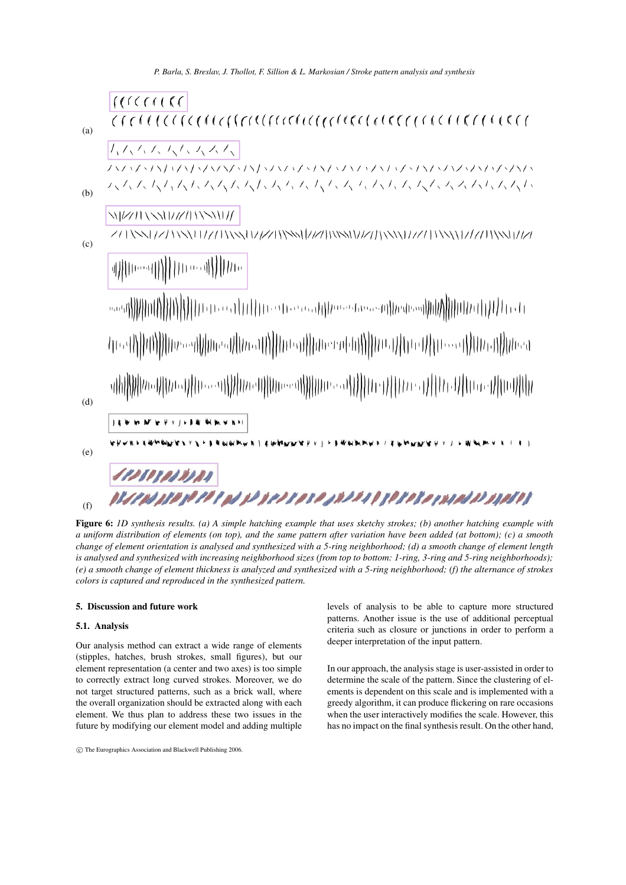*P. Barla, S. Breslav, J. Thollot, F. Sillion & L. Markosian / Stroke pattern analysis and synthesis*



<span id="page-6-0"></span>Figure 6: 1D synthesis results. (a) A simple hatching example that uses sketchy strokes; (b) another hatching example with a uniform distribution of elements (on top), and the same pattern after variation have been added (at bottom); (c) a smooth change of element orientation is analysed and synthesized with a 5-ring neighborhood; (d) a smooth change of element length is analysed and synthesized with increasing neighborhood sizes (from top to bottom: 1-ring, 3-ring and 5-ring neighborhoods); (e) a smooth change of element thickness is analyzed and synthesized with a 5-ring neighborhood; (f) the alternance of strokes *colors is captured and reproduced in the synthesized pattern.*

# **5. Discussion and future work**

# **5.1. Analysis**

Our analysis method can extract a wide range of elements (stipples, hatches, brush strokes, small figures), but our element representation (a center and two axes) is too simple to correctly extract long curved strokes. Moreover, we do not target structured patterns, such as a brick wall, where the overall organization should be extracted along with each element. We thus plan to address these two issues in the future by modifying our element model and adding multiple levels of analysis to be able to capture more structured patterns. Another issue is the use of additional perceptual criteria such as closure or junctions in order to perform a deeper interpretation of the input pattern.

In our approach, the analysis stage is user-assisted in order to determine the scale of the pattern. Since the clustering of elements is dependent on this scale and is implemented with a greedy algorithm, it can produce flickering on rare occasions when the user interactively modifies the scale. However, this has no impact on the final synthesis result. On the other hand,

c The Eurographics Association and Blackwell Publishing 2006.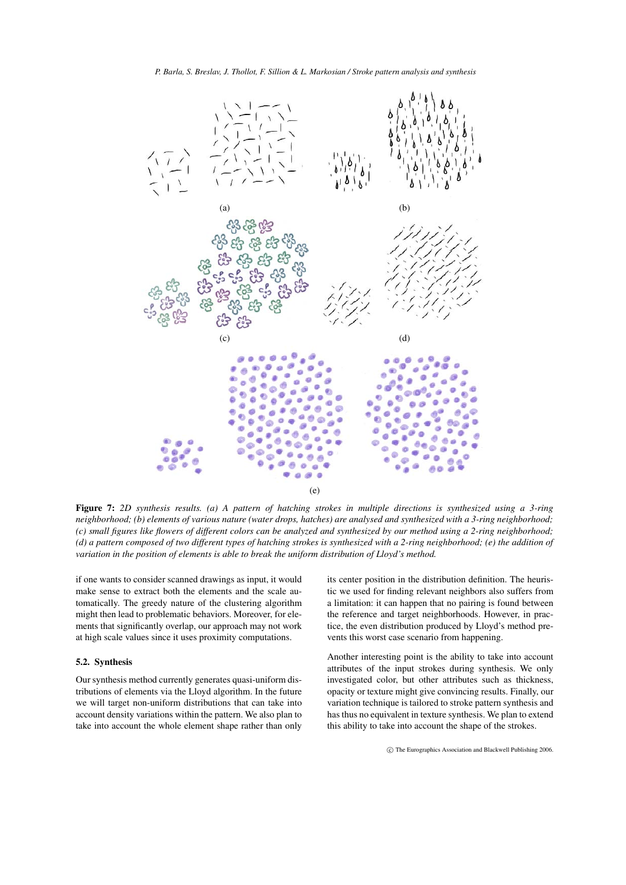

*P. Barla, S. Breslav, J. Thollot, F. Sillion & L. Markosian / Stroke pattern analysis and synthesis*

(e)

<span id="page-7-0"></span>Figure 7: 2D synthesis results. (a) A pattern of hatching strokes in multiple directions is synthesized using a 3-ring neighborhood; (b) elements of various nature (water drops, hatches) are analysed and synthesized with a 3-ring neighborhood; (c) small figures like flowers of different colors can be analyzed and synthesized by our method using a 2-ring neighborhood; (d) a pattern composed of two different types of hatching strokes is synthesized with a 2-ring neighborhood; (e) the addition of *variation in the position of elements is able to break the uniform distribution of Lloyd's method.*

if one wants to consider scanned drawings as input, it would make sense to extract both the elements and the scale automatically. The greedy nature of the clustering algorithm might then lead to problematic behaviors. Moreover, for elements that significantly overlap, our approach may not work at high scale values since it uses proximity computations.

# **5.2. Synthesis**

Our synthesis method currently generates quasi-uniform distributions of elements via the Lloyd algorithm. In the future we will target non-uniform distributions that can take into account density variations within the pattern. We also plan to take into account the whole element shape rather than only its center position in the distribution definition. The heuristic we used for finding relevant neighbors also suffers from a limitation: it can happen that no pairing is found between the reference and target neighborhoods. However, in practice, the even distribution produced by Lloyd's method prevents this worst case scenario from happening.

Another interesting point is the ability to take into account attributes of the input strokes during synthesis. We only investigated color, but other attributes such as thickness, opacity or texture might give convincing results. Finally, our variation technique is tailored to stroke pattern synthesis and has thus no equivalent in texture synthesis. We plan to extend this ability to take into account the shape of the strokes.